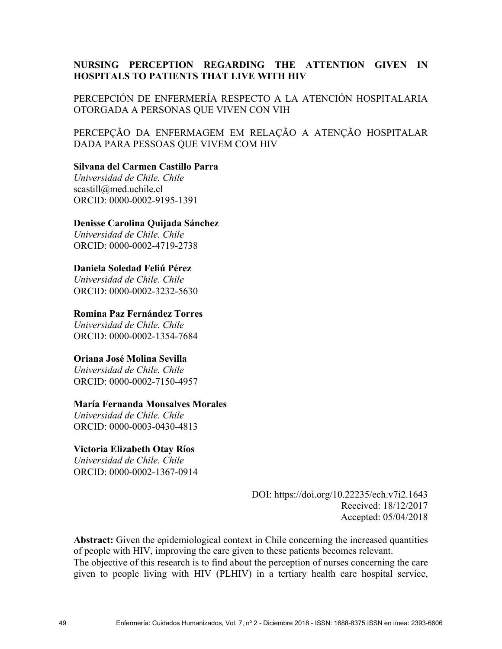# **NURSING PERCEPTION REGARDING THE ATTENTION GIVEN IN HOSPITALS TO PATIENTS THAT LIVE WITH HIV**

PERCEPCIÓN DE ENFERMERÍA RESPECTO A LA ATENCIÓN HOSPITALARIA OTORGADA A PERSONAS QUE VIVEN CON VIH

PERCEPÇÃO DA ENFERMAGEM EM RELAÇÃO A ATENÇÃO HOSPITALAR DADA PARA PESSOAS QUE VIVEM COM HIV

### **Silvana del Carmen Castillo Parra**

*Universidad de Chile. Chile*  scastill@med.uchile.cl ORCID: 0000-0002-9195-1391

#### **Denisse Carolina Quijada Sánchez**

*Universidad de Chile. Chile*  ORCID: 0000-0002-4719-2738

### **Daniela Soledad Feliú Pérez**

*Universidad de Chile. Chile*  ORCID: 0000-0002-3232-5630

#### **Romina Paz Fernández Torres**

*Universidad de Chile. Chile*  ORCID: 0000-0002-1354-7684

### **Oriana José Molina Sevilla**

*Universidad de Chile. Chile*  ORCID: 0000-0002-7150-4957

### **María Fernanda Monsalves Morales**

*Universidad de Chile. Chile*  ORCID: 0000-0003-0430-4813

### **Victoria Elizabeth Otay Ríos**

*Universidad de Chile. Chile*  ORCID: 0000-0002-1367-0914

> DOI: https://doi.org/10.22235/ech.v7i2.1643 Received: 18/12/2017 Accepted: 05/04/2018

**Abstract:** Given the epidemiological context in Chile concerning the increased quantities of people with HIV, improving the care given to these patients becomes relevant. The objective of this research is to find about the perception of nurses concerning the care given to people living with HIV (PLHIV) in a tertiary health care hospital service,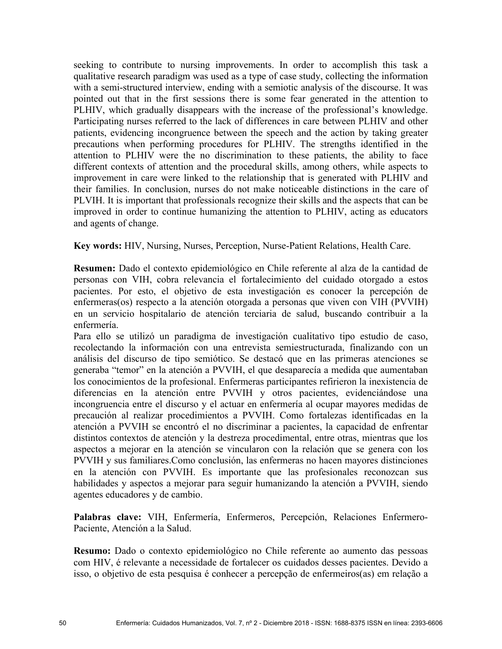seeking to contribute to nursing improvements. In order to accomplish this task a qualitative research paradigm was used as a type of case study, collecting the information with a semi-structured interview, ending with a semiotic analysis of the discourse. It was pointed out that in the first sessions there is some fear generated in the attention to PLHIV, which gradually disappears with the increase of the professional's knowledge. Participating nurses referred to the lack of differences in care between PLHIV and other patients, evidencing incongruence between the speech and the action by taking greater precautions when performing procedures for PLHIV. The strengths identified in the attention to PLHIV were the no discrimination to these patients, the ability to face different contexts of attention and the procedural skills, among others, while aspects to improvement in care were linked to the relationship that is generated with PLHIV and their families. In conclusion, nurses do not make noticeable distinctions in the care of PLVIH. It is important that professionals recognize their skills and the aspects that can be improved in order to continue humanizing the attention to PLHIV, acting as educators and agents of change.

**Key words:** HIV, Nursing, Nurses, Perception, Nurse-Patient Relations, Health Care.

**Resumen:** Dado el contexto epidemiológico en Chile referente al alza de la cantidad de personas con VIH, cobra relevancia el fortalecimiento del cuidado otorgado a estos pacientes. Por esto, el objetivo de esta investigación es conocer la percepción de enfermeras(os) respecto a la atención otorgada a personas que viven con VIH (PVVIH) en un servicio hospitalario de atención terciaria de salud, buscando contribuir a la enfermería.

Para ello se utilizó un paradigma de investigación cualitativo tipo estudio de caso, recolectando la información con una entrevista semiestructurada, finalizando con un análisis del discurso de tipo semiótico. Se destacó que en las primeras atenciones se generaba "temor" en la atención a PVVIH, el que desaparecía a medida que aumentaban los conocimientos de la profesional. Enfermeras participantes refirieron la inexistencia de diferencias en la atención entre PVVIH y otros pacientes, evidenciándose una incongruencia entre el discurso y el actuar en enfermería al ocupar mayores medidas de precaución al realizar procedimientos a PVVIH. Como fortalezas identificadas en la atención a PVVIH se encontró el no discriminar a pacientes, la capacidad de enfrentar distintos contextos de atención y la destreza procedimental, entre otras, mientras que los aspectos a mejorar en la atención se vincularon con la relación que se genera con los PVVIH y sus familiares.Como conclusión, las enfermeras no hacen mayores distinciones en la atención con PVVIH. Es importante que las profesionales reconozcan sus habilidades y aspectos a mejorar para seguir humanizando la atención a PVVIH, siendo agentes educadores y de cambio.

**Palabras clave:** VIH, Enfermería, Enfermeros, Percepción, Relaciones Enfermero-Paciente, Atención a la Salud.

**Resumo:** Dado o contexto epidemiológico no Chile referente ao aumento das pessoas com HIV, é relevante a necessidade de fortalecer os cuidados desses pacientes. Devido a isso, o objetivo de esta pesquisa é conhecer a percepção de enfermeiros(as) em relação a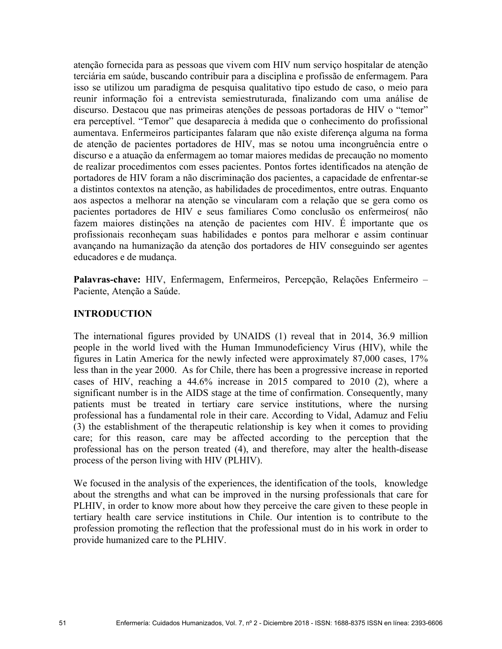atenção fornecida para as pessoas que vivem com HIV num serviço hospitalar de atenção terciária em saúde, buscando contribuir para a disciplina e profissão de enfermagem. Para isso se utilizou um paradigma de pesquisa qualitativo tipo estudo de caso, o meio para reunir informação foi a entrevista semiestruturada, finalizando com uma análise de discurso. Destacou que nas primeiras atenções de pessoas portadoras de HIV o "temor" era perceptível. "Temor" que desaparecia à medida que o conhecimento do profissional aumentava. Enfermeiros participantes falaram que não existe diferença alguma na forma de atenção de pacientes portadores de HIV, mas se notou uma incongruência entre o discurso e a atuação da enfermagem ao tomar maiores medidas de precaução no momento de realizar procedimentos com esses pacientes. Pontos fortes identificados na atenção de portadores de HIV foram a não discriminação dos pacientes, a capacidade de enfrentar-se a distintos contextos na atenção, as habilidades de procedimentos, entre outras. Enquanto aos aspectos a melhorar na atenção se vincularam com a relação que se gera como os pacientes portadores de HIV e seus familiares Como conclusão os enfermeiros( não fazem maiores distinções na atenção de pacientes com HIV. É importante que os profissionais reconheçam suas habilidades e pontos para melhorar e assim continuar avançando na humanização da atenção dos portadores de HIV conseguindo ser agentes educadores e de mudança.

**Palavras-chave:** HIV, Enfermagem, Enfermeiros, Percepção, Relações Enfermeiro – Paciente, Atenção a Saúde.

## **INTRODUCTION**

The international figures provided by UNAIDS (1) reveal that in 2014, 36.9 million people in the world lived with the Human Immunodeficiency Virus (HIV), while the figures in Latin America for the newly infected were approximately 87,000 cases, 17% less than in the year 2000. As for Chile, there has been a progressive increase in reported cases of HIV, reaching a 44.6% increase in 2015 compared to 2010 (2), where a significant number is in the AIDS stage at the time of confirmation. Consequently, many patients must be treated in tertiary care service institutions, where the nursing professional has a fundamental role in their care. According to Vidal, Adamuz and Feliu (3) the establishment of the therapeutic relationship is key when it comes to providing care; for this reason, care may be affected according to the perception that the professional has on the person treated (4), and therefore, may alter the health-disease process of the person living with HIV (PLHIV).

We focused in the analysis of the experiences, the identification of the tools, knowledge about the strengths and what can be improved in the nursing professionals that care for PLHIV, in order to know more about how they perceive the care given to these people in tertiary health care service institutions in Chile. Our intention is to contribute to the profession promoting the reflection that the professional must do in his work in order to provide humanized care to the PLHIV.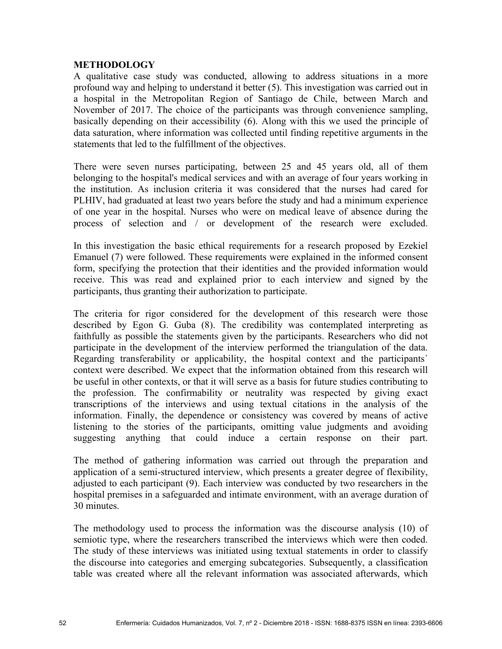## **METHODOLOGY**

A qualitative case study was conducted, allowing to address situations in a more profound way and helping to understand it better (5). This investigation was carried out in a hospital in the Metropolitan Region of Santiago de Chile, between March and November of 2017. The choice of the participants was through convenience sampling, basically depending on their accessibility (6). Along with this we used the principle of data saturation, where information was collected until finding repetitive arguments in the statements that led to the fulfillment of the objectives.

There were seven nurses participating, between 25 and 45 years old, all of them belonging to the hospital's medical services and with an average of four years working in the institution. As inclusion criteria it was considered that the nurses had cared for PLHIV, had graduated at least two years before the study and had a minimum experience of one year in the hospital. Nurses who were on medical leave of absence during the process of selection and / or development of the research were excluded.

In this investigation the basic ethical requirements for a research proposed by Ezekiel Emanuel (7) were followed. These requirements were explained in the informed consent form, specifying the protection that their identities and the provided information would receive. This was read and explained prior to each interview and signed by the participants, thus granting their authorization to participate.

The criteria for rigor considered for the development of this research were those described by Egon G. Guba (8). The credibility was contemplated interpreting as faithfully as possible the statements given by the participants. Researchers who did not participate in the development of the interview performed the triangulation of the data. Regarding transferability or applicability, the hospital context and the participants´ context were described. We expect that the information obtained from this research will be useful in other contexts, or that it will serve as a basis for future studies contributing to the profession. The confirmability or neutrality was respected by giving exact transcriptions of the interviews and using textual citations in the analysis of the information. Finally, the dependence or consistency was covered by means of active listening to the stories of the participants, omitting value judgments and avoiding suggesting anything that could induce a certain response on their part.

The method of gathering information was carried out through the preparation and application of a semi-structured interview, which presents a greater degree of flexibility, adjusted to each participant (9). Each interview was conducted by two researchers in the hospital premises in a safeguarded and intimate environment, with an average duration of 30 minutes.

The methodology used to process the information was the discourse analysis (10) of semiotic type, where the researchers transcribed the interviews which were then coded. The study of these interviews was initiated using textual statements in order to classify the discourse into categories and emerging subcategories. Subsequently, a classification table was created where all the relevant information was associated afterwards, which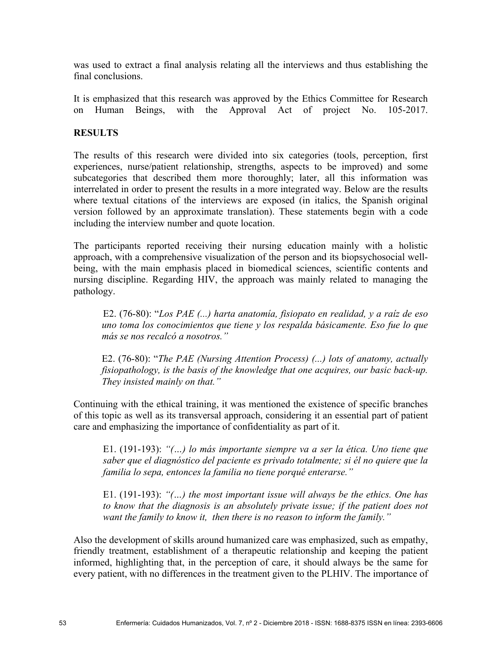was used to extract a final analysis relating all the interviews and thus establishing the final conclusions.

It is emphasized that this research was approved by the Ethics Committee for Research on Human Beings, with the Approval Act of project No. 105-2017.

## **RESULTS**

The results of this research were divided into six categories (tools, perception, first experiences, nurse/patient relationship, strengths, aspects to be improved) and some subcategories that described them more thoroughly; later, all this information was interrelated in order to present the results in a more integrated way. Below are the results where textual citations of the interviews are exposed (in italics, the Spanish original version followed by an approximate translation). These statements begin with a code including the interview number and quote location.

The participants reported receiving their nursing education mainly with a holistic approach, with a comprehensive visualization of the person and its biopsychosocial wellbeing, with the main emphasis placed in biomedical sciences, scientific contents and nursing discipline. Regarding HIV, the approach was mainly related to managing the pathology.

E2. (76-80): "*Los PAE (...) harta anatomía, fisiopato en realidad, y a raíz de eso uno toma los conocimientos que tiene y los respalda básicamente. Eso fue lo que más se nos recalcó a nosotros."*

E2. (76-80): "*The PAE (Nursing Attention Process) (...) lots of anatomy, actually fisiopathology, is the basis of the knowledge that one acquires, our basic back-up. They insisted mainly on that."*

Continuing with the ethical training, it was mentioned the existence of specific branches of this topic as well as its transversal approach, considering it an essential part of patient care and emphasizing the importance of confidentiality as part of it.

E1. (191-193): *"(…) lo más importante siempre va a ser la ética. Uno tiene que saber que el diagnóstico del paciente es privado totalmente; si él no quiere que la familia lo sepa, entonces la familia no tiene porqué enterarse."*

E1. (191-193): *"(…) the most important issue will always be the ethics. One has to know that the diagnosis is an absolutely private issue; if the patient does not want the family to know it, then there is no reason to inform the family."*

Also the development of skills around humanized care was emphasized, such as empathy, friendly treatment, establishment of a therapeutic relationship and keeping the patient informed, highlighting that, in the perception of care, it should always be the same for every patient, with no differences in the treatment given to the PLHIV. The importance of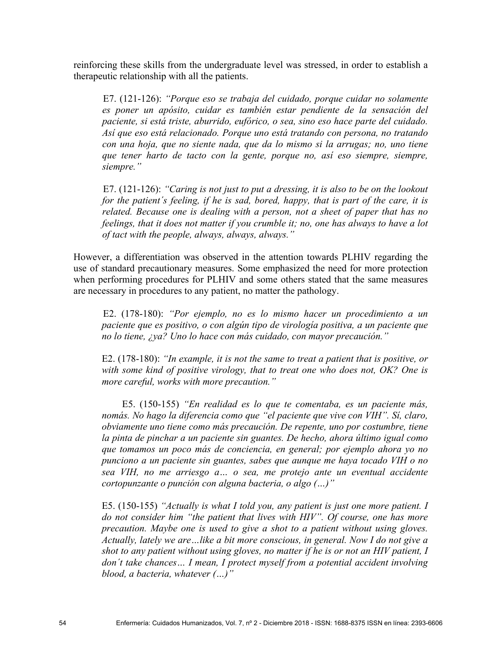reinforcing these skills from the undergraduate level was stressed, in order to establish a therapeutic relationship with all the patients.

E7. (121-126): *"Porque eso se trabaja del cuidado, porque cuidar no solamente es poner un apósito, cuidar es también estar pendiente de la sensación del paciente, si está triste, aburrido, eufórico, o sea, sino eso hace parte del cuidado. Así que eso está relacionado. Porque uno está tratando con persona, no tratando con una hoja, que no siente nada, que da lo mismo si la arrugas; no, uno tiene que tener harto de tacto con la gente, porque no, así eso siempre, siempre, siempre."*

E7. (121-126): *"Caring is not just to put a dressing, it is also to be on the lookout for the patient´s feeling, if he is sad, bored, happy, that is part of the care, it is related. Because one is dealing with a person, not a sheet of paper that has no feelings, that it does not matter if you crumble it; no, one has always to have a lot of tact with the people, always, always, always."*

However, a differentiation was observed in the attention towards PLHIV regarding the use of standard precautionary measures. Some emphasized the need for more protection when performing procedures for PLHIV and some others stated that the same measures are necessary in procedures to any patient, no matter the pathology.

E2. (178-180): *"Por ejemplo, no es lo mismo hacer un procedimiento a un paciente que es positivo, o con algún tipo de virología positiva, a un paciente que no lo tiene, ¿ya? Uno lo hace con más cuidado, con mayor precaución."*

E2. (178-180): *"In example, it is not the same to treat a patient that is positive, or with some kind of positive virology, that to treat one who does not, OK? One is more careful, works with more precaution."*

E5. (150-155) *"En realidad es lo que te comentaba, es un paciente más, nomás. No hago la diferencia como que "el paciente que vive con VIH". Sí, claro, obviamente uno tiene como más precaución. De repente, uno por costumbre, tiene la pinta de pinchar a un paciente sin guantes. De hecho, ahora último igual como que tomamos un poco más de conciencia, en general; por ejemplo ahora yo no punciono a un paciente sin guantes, sabes que aunque me haya tocado VIH o no sea VIH, no me arriesgo a… o sea, me protejo ante un eventual accidente cortopunzante o punción con alguna bacteria, o algo (…)"*

E5. (150-155) *"Actually is what I told you, any patient is just one more patient. I do not consider him "the patient that lives with HIV". Of course, one has more precaution. Maybe one is used to give a shot to a patient without using gloves. Actually, lately we are…like a bit more conscious, in general. Now I do not give a shot to any patient without using gloves, no matter if he is or not an HIV patient, I don´t take chances… I mean, I protect myself from a potential accident involving blood, a bacteria, whatever (…)"*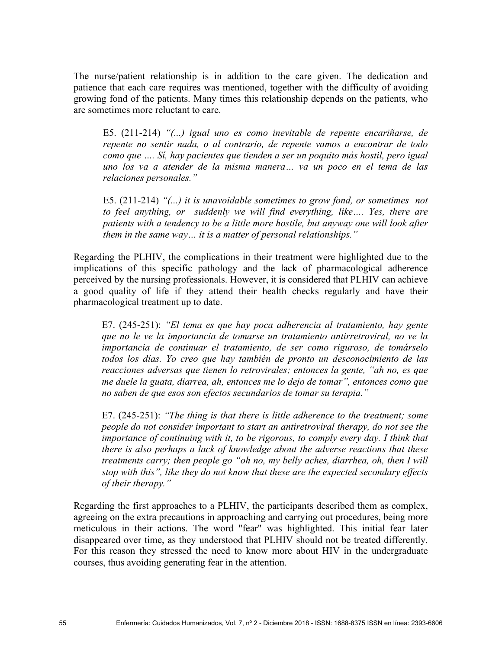The nurse/patient relationship is in addition to the care given. The dedication and patience that each care requires was mentioned, together with the difficulty of avoiding growing fond of the patients. Many times this relationship depends on the patients, who are sometimes more reluctant to care.

E5. (211-214) *"(...) igual uno es como inevitable de repente encariñarse, de repente no sentir nada, o al contrario, de repente vamos a encontrar de todo como que …. Sí, hay pacientes que tienden a ser un poquito más hostil, pero igual uno los va a atender de la misma manera… va un poco en el tema de las relaciones personales."*

E5. (211-214) *"(...) it is unavoidable sometimes to grow fond, or sometimes not to feel anything, or suddenly we will find everything, like…. Yes, there are patients with a tendency to be a little more hostile, but anyway one will look after them in the same way… it is a matter of personal relationships."*

Regarding the PLHIV, the complications in their treatment were highlighted due to the implications of this specific pathology and the lack of pharmacological adherence perceived by the nursing professionals. However, it is considered that PLHIV can achieve a good quality of life if they attend their health checks regularly and have their pharmacological treatment up to date.

E7. (245-251): *"El tema es que hay poca adherencia al tratamiento, hay gente que no le ve la importancia de tomarse un tratamiento antirretroviral, no ve la importancia de continuar el tratamiento, de ser como riguroso, de tomárselo todos los días. Yo creo que hay también de pronto un desconocimiento de las reacciones adversas que tienen lo retrovirales; entonces la gente, "ah no, es que me duele la guata, diarrea, ah, entonces me lo dejo de tomar", entonces como que no saben de que esos son efectos secundarios de tomar su terapia."*

E7. (245-251): *"The thing is that there is little adherence to the treatment; some people do not consider important to start an antiretroviral therapy, do not see the importance of continuing with it, to be rigorous, to comply every day. I think that there is also perhaps a lack of knowledge about the adverse reactions that these treatments carry; then people go "oh no, my belly aches, diarrhea, oh, then I will stop with this", like they do not know that these are the expected secondary effects of their therapy."*

Regarding the first approaches to a PLHIV, the participants described them as complex, agreeing on the extra precautions in approaching and carrying out procedures, being more meticulous in their actions. The word "fear" was highlighted. This initial fear later disappeared over time, as they understood that PLHIV should not be treated differently. For this reason they stressed the need to know more about HIV in the undergraduate courses, thus avoiding generating fear in the attention.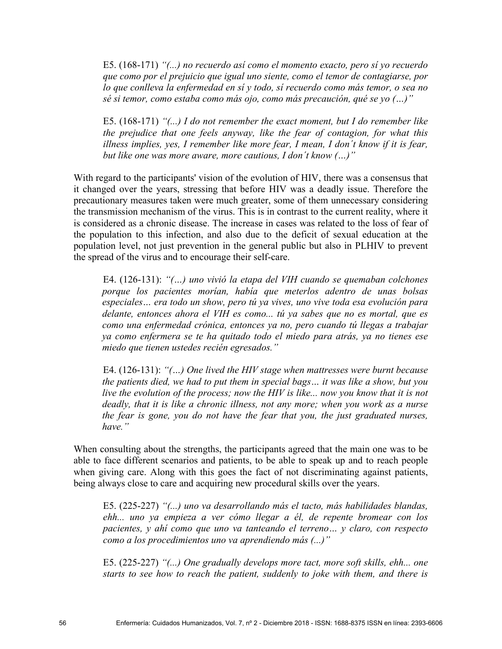E5. (168-171) *"(...) no recuerdo así como el momento exacto, pero sí yo recuerdo que como por el prejuicio que igual uno siente, como el temor de contagiarse, por lo que conlleva la enfermedad en sí y todo, sí recuerdo como más temor, o sea no sé si temor, como estaba como más ojo, como más precaución, qué se yo (…)"*

E5. (168-171) *"(...) I do not remember the exact moment, but I do remember like the prejudice that one feels anyway, like the fear of contagion, for what this illness implies, yes, I remember like more fear, I mean, I don´t know if it is fear, but like one was more aware, more cautious, I don´t know (…)"*

With regard to the participants' vision of the evolution of HIV, there was a consensus that it changed over the years, stressing that before HIV was a deadly issue. Therefore the precautionary measures taken were much greater, some of them unnecessary considering the transmission mechanism of the virus. This is in contrast to the current reality, where it is considered as a chronic disease. The increase in cases was related to the loss of fear of the population to this infection, and also due to the deficit of sexual education at the population level, not just prevention in the general public but also in PLHIV to prevent the spread of the virus and to encourage their self-care.

E4. (126-131): *"(…) uno vivió la etapa del VIH cuando se quemaban colchones porque los pacientes morían, había que meterlos adentro de unas bolsas especiales… era todo un show, pero tú ya vives, uno vive toda esa evolución para delante, entonces ahora el VIH es como... tú ya sabes que no es mortal, que es como una enfermedad crónica, entonces ya no, pero cuando tú llegas a trabajar ya como enfermera se te ha quitado todo el miedo para atrás, ya no tienes ese miedo que tienen ustedes recién egresados."*

E4. (126-131): *"(…) One lived the HIV stage when mattresses were burnt because the patients died, we had to put them in special bags… it was like a show, but you live the evolution of the process; now the HIV is like... now you know that it is not deadly, that it is like a chronic illness, not any more; when you work as a nurse the fear is gone, you do not have the fear that you, the just graduated nurses, have."*

When consulting about the strengths, the participants agreed that the main one was to be able to face different scenarios and patients, to be able to speak up and to reach people when giving care. Along with this goes the fact of not discriminating against patients, being always close to care and acquiring new procedural skills over the years.

E5. (225-227) *"(...) uno va desarrollando más el tacto, más habilidades blandas, ehh... uno ya empieza a ver cómo llegar a él, de repente bromear con los pacientes, y ahí como que uno va tanteando el terreno… y claro, con respecto como a los procedimientos uno va aprendiendo más (...)"*

E5. (225-227) *"(...) One gradually develops more tact, more soft skills, ehh... one starts to see how to reach the patient, suddenly to joke with them, and there is*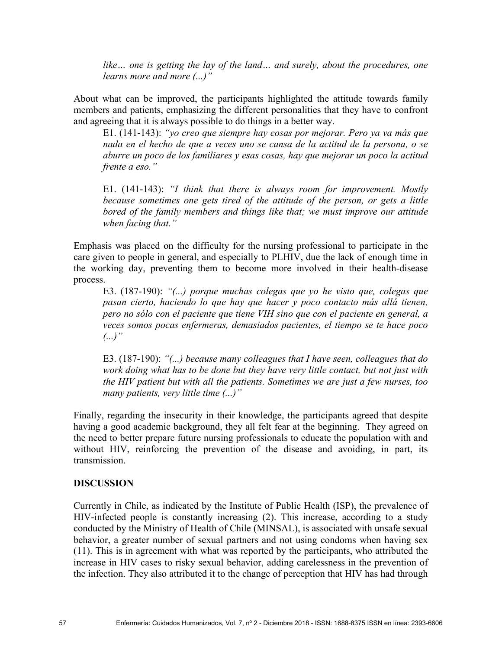*like… one is getting the lay of the land… and surely, about the procedures, one learns more and more (...)"*

About what can be improved, the participants highlighted the attitude towards family members and patients, emphasizing the different personalities that they have to confront and agreeing that it is always possible to do things in a better way.

E1. (141-143): *"yo creo que siempre hay cosas por mejorar. Pero ya va más que nada en el hecho de que a veces uno se cansa de la actitud de la persona, o se aburre un poco de los familiares y esas cosas, hay que mejorar un poco la actitud frente a eso."*

E1. (141-143): *"I think that there is always room for improvement. Mostly because sometimes one gets tired of the attitude of the person, or gets a little bored of the family members and things like that; we must improve our attitude when facing that."*

Emphasis was placed on the difficulty for the nursing professional to participate in the care given to people in general, and especially to PLHIV, due the lack of enough time in the working day, preventing them to become more involved in their health-disease process.

E3. (187-190): *"(...) porque muchas colegas que yo he visto que, colegas que pasan cierto, haciendo lo que hay que hacer y poco contacto más allá tienen, pero no sólo con el paciente que tiene VIH sino que con el paciente en general, a veces somos pocas enfermeras, demasiados pacientes, el tiempo se te hace poco (...)"*

E3. (187-190): *"(...) because many colleagues that I have seen, colleagues that do work doing what has to be done but they have very little contact, but not just with the HIV patient but with all the patients. Sometimes we are just a few nurses, too many patients, very little time (...)"*

Finally, regarding the insecurity in their knowledge, the participants agreed that despite having a good academic background, they all felt fear at the beginning. They agreed on the need to better prepare future nursing professionals to educate the population with and without HIV, reinforcing the prevention of the disease and avoiding, in part, its transmission.

### **DISCUSSION**

Currently in Chile, as indicated by the Institute of Public Health (ISP), the prevalence of HIV-infected people is constantly increasing (2). This increase, according to a study conducted by the Ministry of Health of Chile (MINSAL), is associated with unsafe sexual behavior, a greater number of sexual partners and not using condoms when having sex (11). This is in agreement with what was reported by the participants, who attributed the increase in HIV cases to risky sexual behavior, adding carelessness in the prevention of the infection. They also attributed it to the change of perception that HIV has had through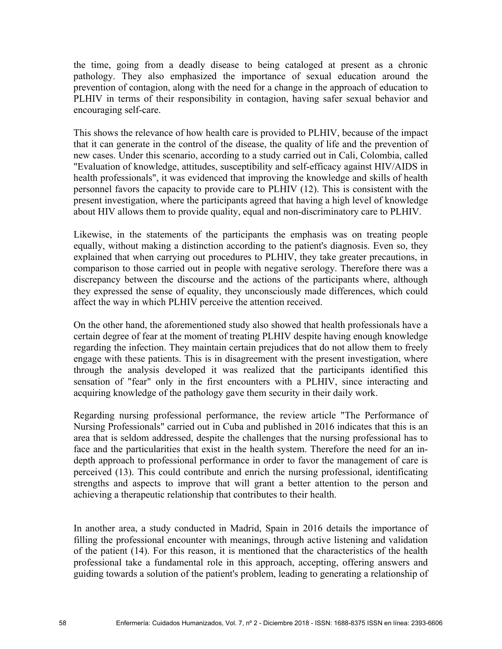the time, going from a deadly disease to being cataloged at present as a chronic pathology. They also emphasized the importance of sexual education around the prevention of contagion, along with the need for a change in the approach of education to PLHIV in terms of their responsibility in contagion, having safer sexual behavior and encouraging self-care.

This shows the relevance of how health care is provided to PLHIV, because of the impact that it can generate in the control of the disease, the quality of life and the prevention of new cases. Under this scenario, according to a study carried out in Cali, Colombia, called "Evaluation of knowledge, attitudes, susceptibility and self-efficacy against HIV/AIDS in health professionals", it was evidenced that improving the knowledge and skills of health personnel favors the capacity to provide care to PLHIV (12). This is consistent with the present investigation, where the participants agreed that having a high level of knowledge about HIV allows them to provide quality, equal and non-discriminatory care to PLHIV.

Likewise, in the statements of the participants the emphasis was on treating people equally, without making a distinction according to the patient's diagnosis. Even so, they explained that when carrying out procedures to PLHIV, they take greater precautions, in comparison to those carried out in people with negative serology. Therefore there was a discrepancy between the discourse and the actions of the participants where, although they expressed the sense of equality, they unconsciously made differences, which could affect the way in which PLHIV perceive the attention received.

On the other hand, the aforementioned study also showed that health professionals have a certain degree of fear at the moment of treating PLHIV despite having enough knowledge regarding the infection. They maintain certain prejudices that do not allow them to freely engage with these patients. This is in disagreement with the present investigation, where through the analysis developed it was realized that the participants identified this sensation of "fear" only in the first encounters with a PLHIV, since interacting and acquiring knowledge of the pathology gave them security in their daily work.

Regarding nursing professional performance, the review article "The Performance of Nursing Professionals" carried out in Cuba and published in 2016 indicates that this is an area that is seldom addressed, despite the challenges that the nursing professional has to face and the particularities that exist in the health system. Therefore the need for an indepth approach to professional performance in order to favor the management of care is perceived (13). This could contribute and enrich the nursing professional, identificating strengths and aspects to improve that will grant a better attention to the person and achieving a therapeutic relationship that contributes to their health.

In another area, a study conducted in Madrid, Spain in 2016 details the importance of filling the professional encounter with meanings, through active listening and validation of the patient (14). For this reason, it is mentioned that the characteristics of the health professional take a fundamental role in this approach, accepting, offering answers and guiding towards a solution of the patient's problem, leading to generating a relationship of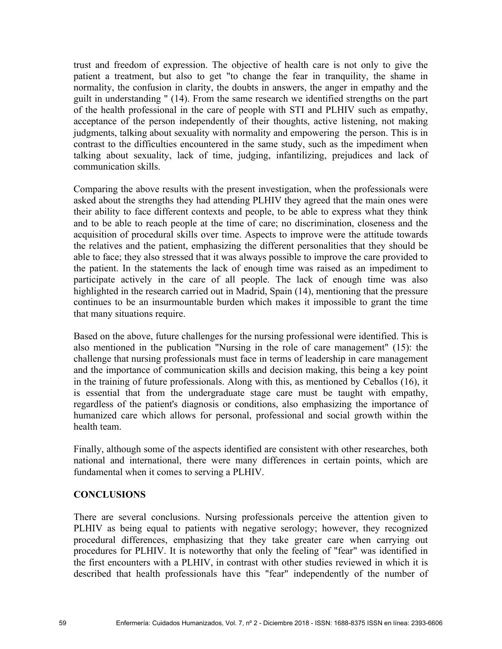trust and freedom of expression. The objective of health care is not only to give the patient a treatment, but also to get "to change the fear in tranquility, the shame in normality, the confusion in clarity, the doubts in answers, the anger in empathy and the guilt in understanding " (14). From the same research we identified strengths on the part of the health professional in the care of people with STI and PLHIV such as empathy, acceptance of the person independently of their thoughts, active listening, not making judgments, talking about sexuality with normality and empowering the person. This is in contrast to the difficulties encountered in the same study, such as the impediment when talking about sexuality, lack of time, judging, infantilizing, prejudices and lack of communication skills.

Comparing the above results with the present investigation, when the professionals were asked about the strengths they had attending PLHIV they agreed that the main ones were their ability to face different contexts and people, to be able to express what they think and to be able to reach people at the time of care; no discrimination, closeness and the acquisition of procedural skills over time. Aspects to improve were the attitude towards the relatives and the patient, emphasizing the different personalities that they should be able to face; they also stressed that it was always possible to improve the care provided to the patient. In the statements the lack of enough time was raised as an impediment to participate actively in the care of all people. The lack of enough time was also highlighted in the research carried out in Madrid, Spain (14), mentioning that the pressure continues to be an insurmountable burden which makes it impossible to grant the time that many situations require.

Based on the above, future challenges for the nursing professional were identified. This is also mentioned in the publication "Nursing in the role of care management" (15): the challenge that nursing professionals must face in terms of leadership in care management and the importance of communication skills and decision making, this being a key point in the training of future professionals. Along with this, as mentioned by Ceballos (16), it is essential that from the undergraduate stage care must be taught with empathy, regardless of the patient's diagnosis or conditions, also emphasizing the importance of humanized care which allows for personal, professional and social growth within the health team.

Finally, although some of the aspects identified are consistent with other researches, both national and international, there were many differences in certain points, which are fundamental when it comes to serving a PLHIV.

## **CONCLUSIONS**

There are several conclusions. Nursing professionals perceive the attention given to PLHIV as being equal to patients with negative serology; however, they recognized procedural differences, emphasizing that they take greater care when carrying out procedures for PLHIV. It is noteworthy that only the feeling of "fear" was identified in the first encounters with a PLHIV, in contrast with other studies reviewed in which it is described that health professionals have this "fear" independently of the number of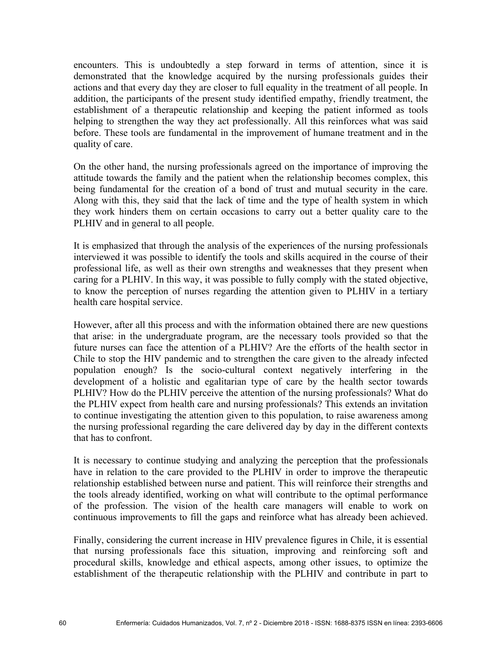encounters. This is undoubtedly a step forward in terms of attention, since it is demonstrated that the knowledge acquired by the nursing professionals guides their actions and that every day they are closer to full equality in the treatment of all people. In addition, the participants of the present study identified empathy, friendly treatment, the establishment of a therapeutic relationship and keeping the patient informed as tools helping to strengthen the way they act professionally. All this reinforces what was said before. These tools are fundamental in the improvement of humane treatment and in the quality of care.

On the other hand, the nursing professionals agreed on the importance of improving the attitude towards the family and the patient when the relationship becomes complex, this being fundamental for the creation of a bond of trust and mutual security in the care. Along with this, they said that the lack of time and the type of health system in which they work hinders them on certain occasions to carry out a better quality care to the PLHIV and in general to all people.

It is emphasized that through the analysis of the experiences of the nursing professionals interviewed it was possible to identify the tools and skills acquired in the course of their professional life, as well as their own strengths and weaknesses that they present when caring for a PLHIV. In this way, it was possible to fully comply with the stated objective, to know the perception of nurses regarding the attention given to PLHIV in a tertiary health care hospital service.

However, after all this process and with the information obtained there are new questions that arise: in the undergraduate program, are the necessary tools provided so that the future nurses can face the attention of a PLHIV? Are the efforts of the health sector in Chile to stop the HIV pandemic and to strengthen the care given to the already infected population enough? Is the socio-cultural context negatively interfering in the development of a holistic and egalitarian type of care by the health sector towards PLHIV? How do the PLHIV perceive the attention of the nursing professionals? What do the PLHIV expect from health care and nursing professionals? This extends an invitation to continue investigating the attention given to this population, to raise awareness among the nursing professional regarding the care delivered day by day in the different contexts that has to confront.

It is necessary to continue studying and analyzing the perception that the professionals have in relation to the care provided to the PLHIV in order to improve the therapeutic relationship established between nurse and patient. This will reinforce their strengths and the tools already identified, working on what will contribute to the optimal performance of the profession. The vision of the health care managers will enable to work on continuous improvements to fill the gaps and reinforce what has already been achieved.

Finally, considering the current increase in HIV prevalence figures in Chile, it is essential that nursing professionals face this situation, improving and reinforcing soft and procedural skills, knowledge and ethical aspects, among other issues, to optimize the establishment of the therapeutic relationship with the PLHIV and contribute in part to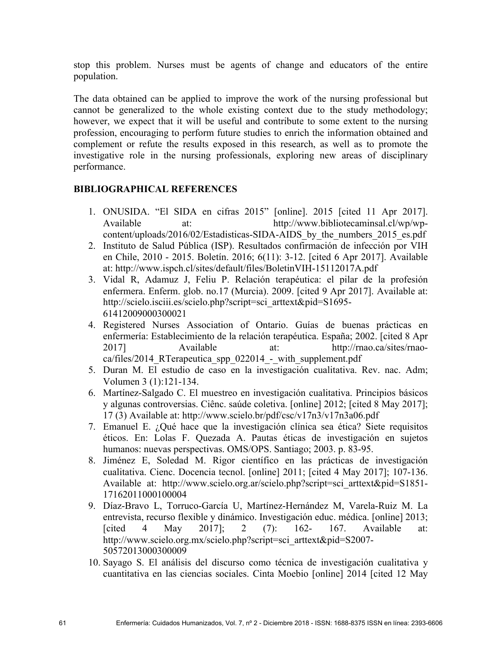stop this problem. Nurses must be agents of change and educators of the entire population.

The data obtained can be applied to improve the work of the nursing professional but cannot be generalized to the whole existing context due to the study methodology; however, we expect that it will be useful and contribute to some extent to the nursing profession, encouraging to perform future studies to enrich the information obtained and complement or refute the results exposed in this research, as well as to promote the investigative role in the nursing professionals, exploring new areas of disciplinary performance.

# **BIBLIOGRAPHICAL REFERENCES**

- 1. ONUSIDA. "El SIDA en cifras 2015" [online]. 2015 [cited 11 Apr 2017]. Available at: http://www.bibliotecaminsal.cl/wp/wpcontent/uploads/2016/02/Estadisticas-SIDA-AIDS by the numbers 2015 es.pdf
- 2. Instituto de Salud Pública (ISP). Resultados confirmación de infección por VIH en Chile, 2010 - 2015. Boletín. 2016; 6(11): 3-12. [cited 6 Apr 2017]. Available at: http://www.ispch.cl/sites/default/files/BoletinVIH-15112017A.pdf
- 3. Vidal R, Adamuz J, Feliu P. Relación terapéutica: el pilar de la profesión enfermera. Enferm. glob. no.17 (Murcia). 2009. [cited 9 Apr 2017]. Available at: http://scielo.isciii.es/scielo.php?script=sci\_arttext&pid=S1695- 61412009000300021
- 4. Registered Nurses Association of Ontario. Guías de buenas prácticas en enfermería: Establecimiento de la relación terapéutica. España; 2002. [cited 8 Apr 2017] Available at: http://rnao.ca/sites/rnaoca/files/2014 RTerapeutica spp 022014 - with supplement.pdf
- 5. Duran M. El estudio de caso en la investigación cualitativa. Rev. nac. Adm; Volumen 3 (1):121-134.
- 6. Martínez-Salgado C. El muestreo en investigación cualitativa. Principios básicos y algunas controversias. Ciênc. saúde coletiva. [online] 2012; [cited 8 May 2017]; 17 (3) Available at: http://www.scielo.br/pdf/csc/v17n3/v17n3a06.pdf
- 7. Emanuel E. ¿Qué hace que la investigación clínica sea ética? Siete requisitos éticos. En: Lolas F. Quezada A. Pautas éticas de investigación en sujetos humanos: nuevas perspectivas. OMS/OPS. Santiago; 2003. p. 83-95.
- 8. Jiménez E, Soledad M. Rigor científico en las prácticas de investigación cualitativa. Cienc. Docencia tecnol. [online] 2011; [cited 4 May 2017]; 107-136. Available at: http://www.scielo.org.ar/scielo.php?script=sci\_arttext&pid=S1851- 17162011000100004
- 9. Díaz-Bravo L, Torruco-García U, Martínez-Hernández M, Varela-Ruiz M. La entrevista, recurso flexible y dinámico. Investigación educ. médica. [online] 2013; [cited 4 May 2017]; 2 (7): 162- 167. Available at: http://www.scielo.org.mx/scielo.php?script=sci\_arttext&pid=S2007-50572013000300009
- 10. Sayago S. El análisis del discurso como técnica de investigación cualitativa y cuantitativa en las ciencias sociales. Cinta Moebio [online] 2014 [cited 12 May